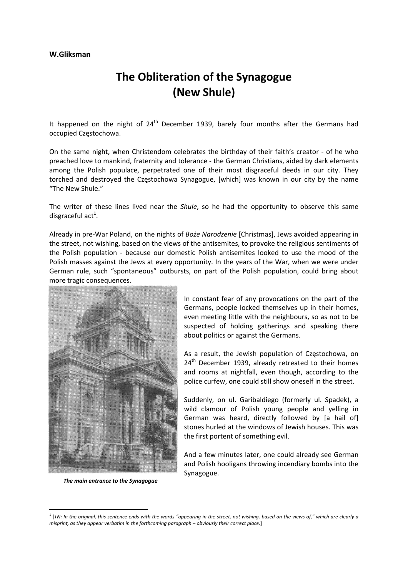## **W.Gliksman**

## **The Obliteration of the Synagogue (New Shule)**

It happened on the night of  $24<sup>th</sup>$  December 1939, barely four months after the Germans had occupied Częstochowa.

On the same night, when Christendom celebrates the birthday of their faith's creator ‐ of he who preached love to mankind, fraternity and tolerance ‐ the German Christians, aided by dark elements among the Polish populace, perpetrated one of their most disgraceful deeds in our city. They torched and destroyed the Częstochowa Synagogue, [which] was known in our city by the name "The New Shule."

The writer of these lines lived near the *Shule*, so he had the opportunity to observe this same disgraceful act<sup>1</sup>.

Already in pre‐War Poland, on the nights of *Boże Narodzenie* [Christmas], Jews avoided appearing in the street, not wishing, based on the views of the antisemites, to provoke the religious sentiments of the Polish population - because our domestic Polish antisemites looked to use the mood of the Polish masses against the Jews at every opportunity. In the years of the War, when we were under German rule, such "spontaneous" outbursts, on part of the Polish population, could bring about more tragic consequences.



*The main entrance to the Synagogue*

In constant fear of any provocations on the part of the Germans, people locked themselves up in their homes, even meeting little with the neighbours, so as not to be suspected of holding gatherings and speaking there about politics or against the Germans.

As a result, the Jewish population of Częstochowa, on  $24<sup>th</sup>$  December 1939, already retreated to their homes and rooms at nightfall, even though, according to the police curfew, one could still show oneself in the street.

Suddenly, on ul. Garibaldiego (formerly ul. Spadek), a wild clamour of Polish young people and yelling in German was heard, directly followed by [a hail of] stones hurled at the windows of Jewish houses. This was the first portent of something evil.

And a few minutes later, one could already see German and Polish hooligans throwing incendiary bombs into the Synagogue.

<sup>&</sup>lt;sup>1</sup> [TN: In the original, this sentence ends with the words "appearing in the street, not wishing, based on the views of," which are clearly a *misprint, as they appear verbatim in the forthcoming paragraph – obviously their correct place.*]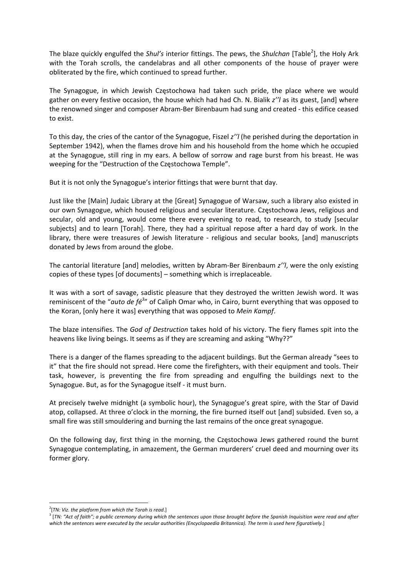The blaze quickly engulfed the *Shul's* interior fittings. The pews, the *Shulchan* [Table<sup>2</sup>], the Holy Ark with the Torah scrolls, the candelabras and all other components of the house of prayer were obliterated by the fire, which continued to spread further.

The Synagogue, in which Jewish Częstochowa had taken such pride, the place where we would gather on every festive occasion, the house which had had Ch. N. Bialik *z''l* as its guest, [and] where the renowned singer and composer Abram‐Ber Birenbaum had sung and created ‐ this edifice ceased to exist.

To this day, the cries of the cantor of the Synagogue, Fiszel *z''l* (he perished during the deportation in September 1942), when the flames drove him and his household from the home which he occupied at the Synagogue, still ring in my ears. A bellow of sorrow and rage burst from his breast. He was weeping for the "Destruction of the Częstochowa Temple".

But it is not only the Synagogue's interior fittings that were burnt that day.

Just like the [Main] Judaic Library at the [Great] Synagogue of Warsaw, such a library also existed in our own Synagogue, which housed religious and secular literature. Częstochowa Jews, religious and secular, old and young, would come there every evening to read, to research, to study [secular subjects] and to learn [Torah]. There, they had a spiritual repose after a hard day of work. In the library, there were treasures of Jewish literature - religious and secular books, [and] manuscripts donated by Jews from around the globe.

The cantorial literature [and] melodies, written by Abram‐Ber Birenbaum *z''l*, were the only existing copies of these types [of documents] – something which is irreplaceable.

It was with a sort of savage, sadistic pleasure that they destroyed the written Jewish word. It was reminiscent of the "*auto de fé<sup>3</sup>* " of Caliph Omar who, in Cairo, burnt everything that was opposed to the Koran, [only here it was] everything that was opposed to *Mein Kampf*.

The blaze intensifies. The *God of Destruction* takes hold of his victory. The fiery flames spit into the heavens like living beings. It seems as if they are screaming and asking "Why??"

There is a danger of the flames spreading to the adjacent buildings. But the German already "sees to it" that the fire should not spread. Here come the firefighters, with their equipment and tools. Their task, however, is preventing the fire from spreading and engulfing the buildings next to the Synagogue. But, as for the Synagogue itself ‐ it must burn.

At precisely twelve midnight (a symbolic hour), the Synagogue's great spire, with the Star of David atop, collapsed. At three o'clock in the morning, the fire burned itself out [and] subsided. Even so, a small fire was still smouldering and burning the last remains of the once great synagogue.

On the following day, first thing in the morning, the Częstochowa Jews gathered round the burnt Synagogue contemplating, in amazement, the German murderers' cruel deed and mourning over its former glory.

<sup>2</sup> [*TN: Viz. the platform from which the Torah is read*.]

<sup>&</sup>lt;sup>3</sup> [TN: "Act of faith"; a public ceremony during which the sentences upon those brought before the Spanish Inquisition were read and after which the sentences were executed by the secular authorities (Encyclopaedia Britannica). The term is used here figuratively.]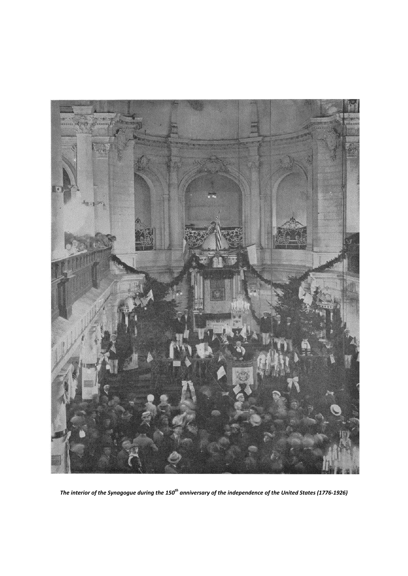

The interior of the Synagogue during the 150<sup>th</sup> anniversary of the independence of the United States (1776-1926)